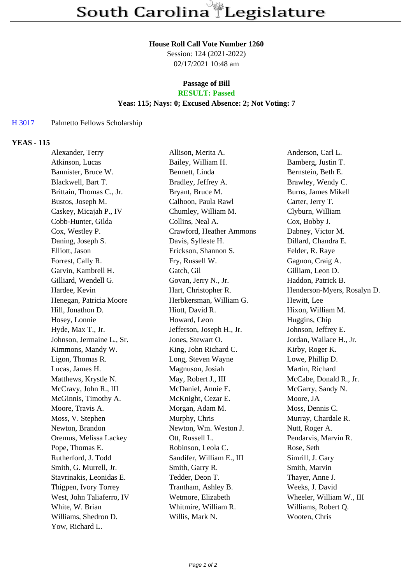## **House Roll Call Vote Number 1260**

Session: 124 (2021-2022) 02/17/2021 10:48 am

# **Passage of Bill**

## **RESULT: Passed**

### **Yeas: 115; Nays: 0; Excused Absence: 2; Not Voting: 7**

#### H 3017 Palmetto Fellows Scholarship

#### **YEAS - 115**

| Alexander, Terry          | Allison, Merita A.        | Anderson, Carl L.           |
|---------------------------|---------------------------|-----------------------------|
| Atkinson, Lucas           | Bailey, William H.        | Bamberg, Justin T.          |
| Bannister, Bruce W.       | Bennett, Linda            | Bernstein, Beth E.          |
| Blackwell, Bart T.        | Bradley, Jeffrey A.       | Brawley, Wendy C.           |
| Brittain, Thomas C., Jr.  | Bryant, Bruce M.          | <b>Burns, James Mikell</b>  |
| Bustos, Joseph M.         | Calhoon, Paula Rawl       | Carter, Jerry T.            |
| Caskey, Micajah P., IV    | Chumley, William M.       | Clyburn, William            |
| Cobb-Hunter, Gilda        | Collins, Neal A.          | Cox, Bobby J.               |
| Cox, Westley P.           | Crawford, Heather Ammons  | Dabney, Victor M.           |
| Daning, Joseph S.         | Davis, Sylleste H.        | Dillard, Chandra E.         |
| Elliott, Jason            | Erickson, Shannon S.      | Felder, R. Raye             |
| Forrest, Cally R.         | Fry, Russell W.           | Gagnon, Craig A.            |
| Garvin, Kambrell H.       | Gatch, Gil                | Gilliam, Leon D.            |
| Gilliard, Wendell G.      | Govan, Jerry N., Jr.      | Haddon, Patrick B.          |
| Hardee, Kevin             | Hart, Christopher R.      | Henderson-Myers, Rosalyn D. |
| Henegan, Patricia Moore   | Herbkersman, William G.   | Hewitt, Lee                 |
| Hill, Jonathon D.         | Hiott, David R.           | Hixon, William M.           |
| Hosey, Lonnie             | Howard, Leon              | Huggins, Chip               |
| Hyde, Max T., Jr.         | Jefferson, Joseph H., Jr. | Johnson, Jeffrey E.         |
| Johnson, Jermaine L., Sr. | Jones, Stewart O.         | Jordan, Wallace H., Jr.     |
| Kimmons, Mandy W.         | King, John Richard C.     | Kirby, Roger K.             |
| Ligon, Thomas R.          | Long, Steven Wayne        | Lowe, Phillip D.            |
| Lucas, James H.           | Magnuson, Josiah          | Martin, Richard             |
| Matthews, Krystle N.      | May, Robert J., III       | McCabe, Donald R., Jr.      |
| McCravy, John R., III     | McDaniel, Annie E.        | McGarry, Sandy N.           |
| McGinnis, Timothy A.      | McKnight, Cezar E.        | Moore, JA                   |
| Moore, Travis A.          | Morgan, Adam M.           | Moss, Dennis C.             |
| Moss, V. Stephen          | Murphy, Chris             | Murray, Chardale R.         |
| Newton, Brandon           | Newton, Wm. Weston J.     | Nutt, Roger A.              |
| Oremus, Melissa Lackey    | Ott, Russell L.           | Pendarvis, Marvin R.        |
| Pope, Thomas E.           | Robinson, Leola C.        | Rose, Seth                  |
| Rutherford, J. Todd       | Sandifer, William E., III | Simrill, J. Gary            |
| Smith, G. Murrell, Jr.    | Smith, Garry R.           | Smith, Marvin               |
| Stavrinakis, Leonidas E.  | Tedder, Deon T.           | Thayer, Anne J.             |
| Thigpen, Ivory Torrey     | Trantham, Ashley B.       | Weeks, J. David             |
| West, John Taliaferro, IV | Wetmore, Elizabeth        | Wheeler, William W., III    |
| White, W. Brian           | Whitmire, William R.      | Williams, Robert Q.         |
| Williams, Shedron D.      | Willis, Mark N.           | Wooten, Chris               |
| Yow, Richard L.           |                           |                             |